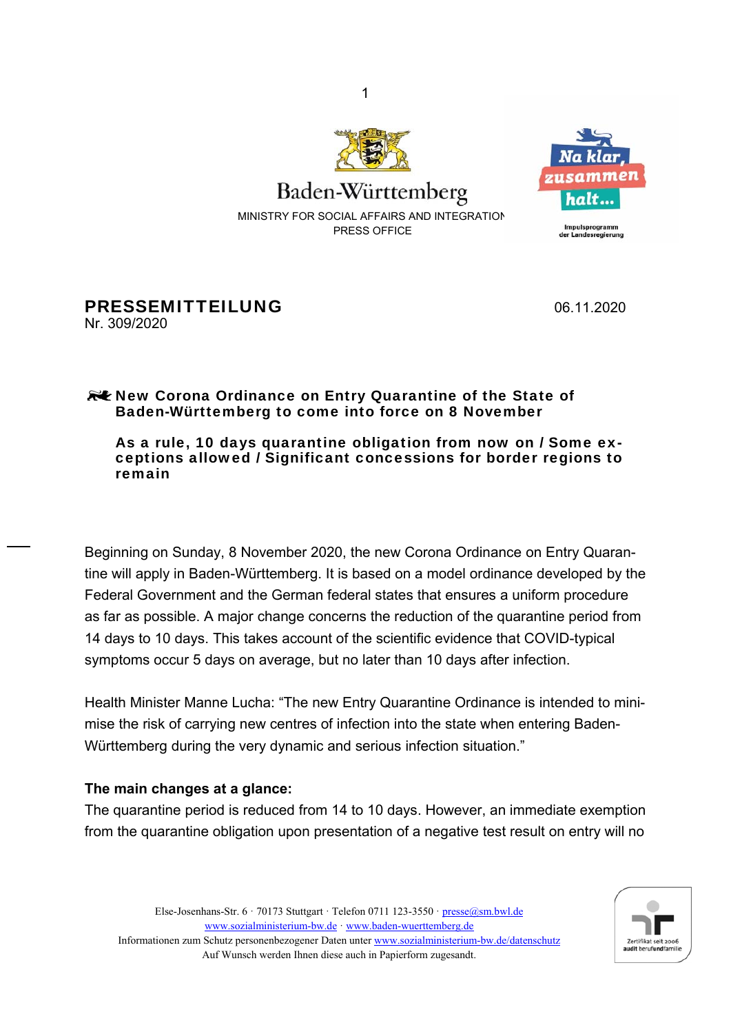

MINISTRY FOR SOCIAL AFFAIRS AND INTEGRATION PRESS OFFICE

1



211 S*at* Impulsprogramm<br>der Landesregierung

PRESSEMITTEILUNG 06.11.2020 Nr. 309/2020

## **RUE New Corona Ordinance on Entry Quarantine of the State of** Baden-Württemberg to come into force on 8 November

## As a rule, 10 days quarantine obligation from now on / Some exceptions allowed / Significant concessions for border regions to remain

Beginning on Sunday, 8 November 2020, the new Corona Ordinance on Entry Quarantine will apply in Baden-Württemberg. It is based on a model ordinance developed by the Federal Government and the German federal states that ensures a uniform procedure as far as possible. A major change concerns the reduction of the quarantine period from 14 days to 10 days. This takes account of the scientific evidence that COVID-typical symptoms occur 5 days on average, but no later than 10 days after infection.

Health Minister Manne Lucha: "The new Entry Quarantine Ordinance is intended to minimise the risk of carrying new centres of infection into the state when entering Baden-Württemberg during the very dynamic and serious infection situation."

## **The main changes at a glance:**

The quarantine period is reduced from 14 to 10 days. However, an immediate exemption from the quarantine obligation upon presentation of a negative test result on entry will no



Else-Josenhans-Str. 6  $\cdot$  70173 Stuttgart  $\cdot$  Telefon 0711 123-3550  $\cdot$  presse@sm.bwl.de www.sozialministerium-bw.de ꞏ www.baden-wuerttemberg.de Informationen zum Schutz personenbezogener Daten unter www.sozialministerium-bw.de/datenschutz Auf Wunsch werden Ihnen diese auch in Papierform zugesandt.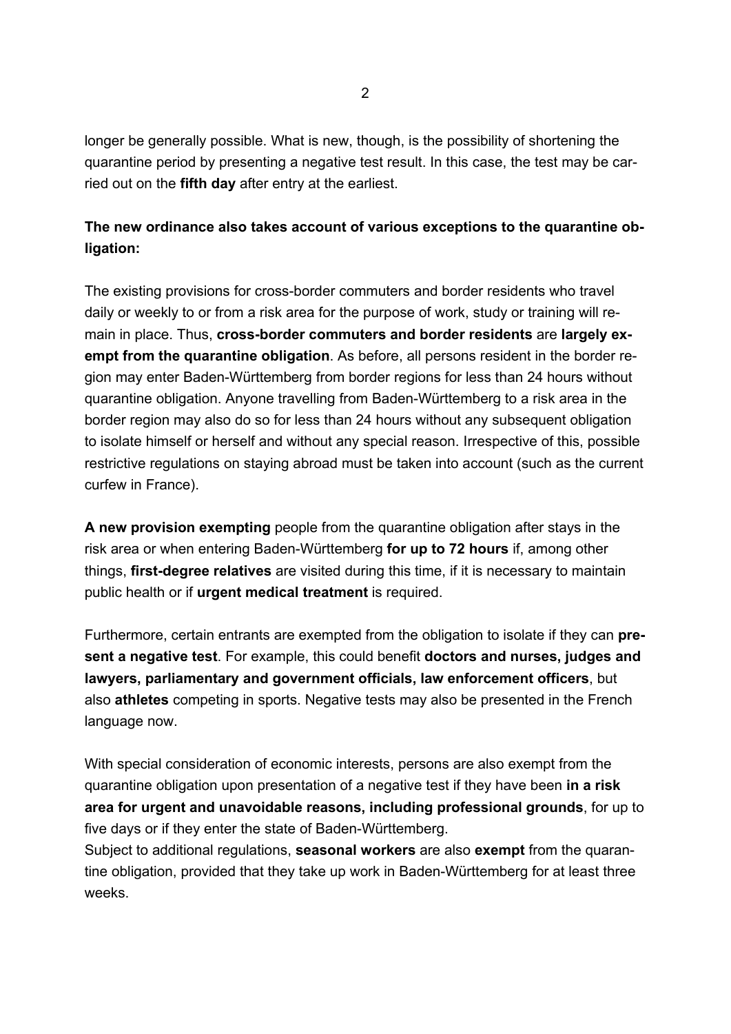longer be generally possible. What is new, though, is the possibility of shortening the quarantine period by presenting a negative test result. In this case, the test may be carried out on the **fifth day** after entry at the earliest.

## **The new ordinance also takes account of various exceptions to the quarantine obligation:**

The existing provisions for cross-border commuters and border residents who travel daily or weekly to or from a risk area for the purpose of work, study or training will remain in place. Thus, **cross-border commuters and border residents** are **largely exempt from the quarantine obligation**. As before, all persons resident in the border region may enter Baden-Württemberg from border regions for less than 24 hours without quarantine obligation. Anyone travelling from Baden-Württemberg to a risk area in the border region may also do so for less than 24 hours without any subsequent obligation to isolate himself or herself and without any special reason. Irrespective of this, possible restrictive regulations on staying abroad must be taken into account (such as the current curfew in France).

**A new provision exempting** people from the quarantine obligation after stays in the risk area or when entering Baden-Württemberg **for up to 72 hours** if, among other things, **first-degree relatives** are visited during this time, if it is necessary to maintain public health or if **urgent medical treatment** is required.

Furthermore, certain entrants are exempted from the obligation to isolate if they can **present a negative test**. For example, this could benefit **doctors and nurses, judges and lawyers, parliamentary and government officials, law enforcement officers**, but also **athletes** competing in sports. Negative tests may also be presented in the French language now.

With special consideration of economic interests, persons are also exempt from the quarantine obligation upon presentation of a negative test if they have been **in a risk area for urgent and unavoidable reasons, including professional grounds**, for up to five days or if they enter the state of Baden-Württemberg.

Subject to additional regulations, **seasonal workers** are also **exempt** from the quarantine obligation, provided that they take up work in Baden-Württemberg for at least three weeks.

 $\mathfrak{p}$